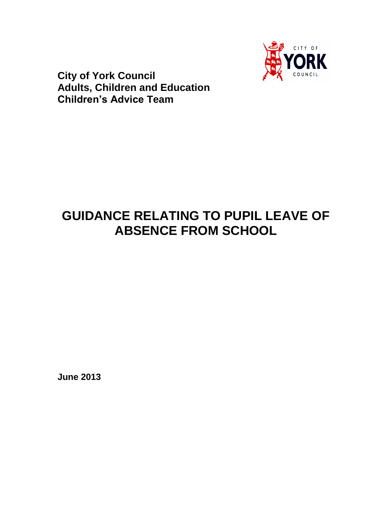

**City of York Council Adults, Children and Education Children's Advice Team**

# **GUIDANCE RELATING TO PUPIL LEAVE OF ABSENCE FROM SCHOOL**

**June 2013**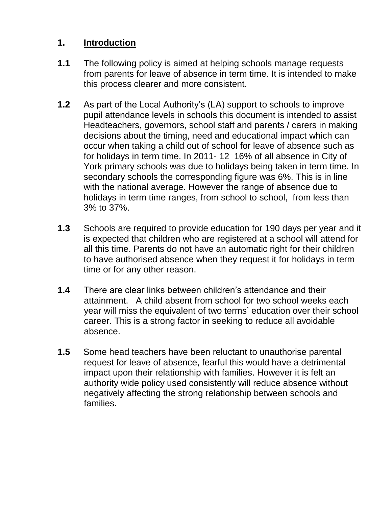## **1. Introduction**

- **1.1** The following policy is aimed at helping schools manage requests from parents for leave of absence in term time. It is intended to make this process clearer and more consistent.
- **1.2** As part of the Local Authority's (LA) support to schools to improve pupil attendance levels in schools this document is intended to assist Headteachers, governors, school staff and parents / carers in making decisions about the timing, need and educational impact which can occur when taking a child out of school for leave of absence such as for holidays in term time. In 2011- 12 16% of all absence in City of York primary schools was due to holidays being taken in term time. In secondary schools the corresponding figure was 6%. This is in line with the national average. However the range of absence due to holidays in term time ranges, from school to school, from less than 3% to 37%.
- **1.3** Schools are required to provide education for 190 days per year and it is expected that children who are registered at a school will attend for all this time. Parents do not have an automatic right for their children to have authorised absence when they request it for holidays in term time or for any other reason.
- **1.4** There are clear links between children's attendance and their attainment. A child absent from school for two school weeks each year will miss the equivalent of two terms' education over their school career. This is a strong factor in seeking to reduce all avoidable absence.
- **1.5** Some head teachers have been reluctant to unauthorise parental request for leave of absence, fearful this would have a detrimental impact upon their relationship with families. However it is felt an authority wide policy used consistently will reduce absence without negatively affecting the strong relationship between schools and families.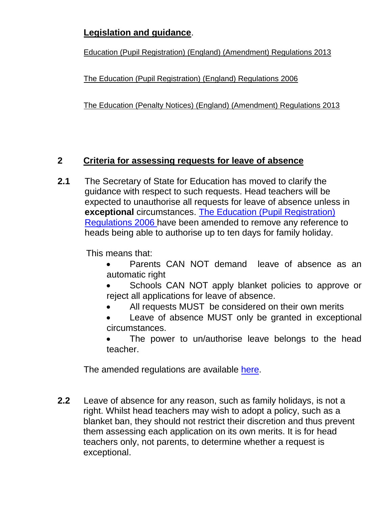## **Legislation and guidance**.

[Education \(Pupil Registration\) \(England\) \(Amendment\) Regulations 2013](http://www.legislation.gov.uk/uksi/2013/756/contents/made)

[The Education \(Pupil Registration\) \(England\) Regulations 2006](http://www.legislation.gov.uk/uksi/2006/1751/contents/made)

[The Education \(Penalty Notices\) \(England\) \(Amendment\) Regulations 2013](http://www.legislation.gov.uk/uksi/2013/757/contents/made)

## **2 Criteria for assessing requests for leave of absence**

**2.1** The Secretary of State for Education has moved to clarify the guidance with respect to such requests. Head teachers will be expected to unauthorise all requests for leave of absence unless in **exceptional** circumstances. [The Education \(Pupil Registration\)](http://www.legislation.gov.uk/uksi/2006/1751/contents/made)  [Regulations 2006 h](http://www.legislation.gov.uk/uksi/2006/1751/contents/made)ave been amended to remove any reference to heads being able to authorise up to ten days for family holiday.

This means that:

- Parents CAN NOT demand leave of absence as an automatic right
- Schools CAN NOT apply blanket policies to approve or reject all applications for leave of absence.
- All requests MUST be considered on their own merits
- Leave of absence MUST only be granted in exceptional circumstances.
- The power to un/authorise leave belongs to the head teacher.

The amended regulations are available [here.](http://www.legislation.gov.uk/uksi/2013/756/contents/made)

**2.2** Leave of absence for any reason, such as family holidays, is not a right. Whilst head teachers may wish to adopt a policy, such as a blanket ban, they should not restrict their discretion and thus prevent them assessing each application on its own merits. It is for head teachers only, not parents, to determine whether a request is exceptional.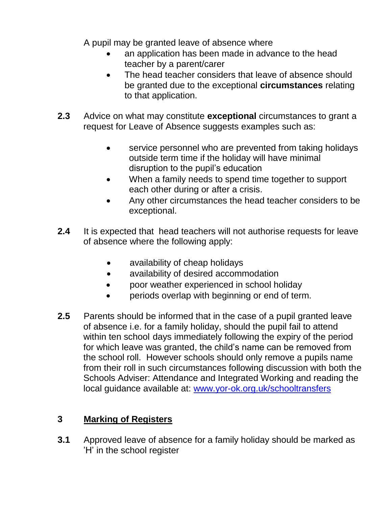A pupil may be granted leave of absence where

- an application has been made in advance to the head teacher by a parent/carer
- The head teacher considers that leave of absence should be granted due to the exceptional **circumstances** relating to that application.
- **2.3** Advice on what may constitute **exceptional** circumstances to grant a request for Leave of Absence suggests examples such as:
	- service personnel who are prevented from taking holidays outside term time if the holiday will have minimal disruption to the pupil's education
	- When a family needs to spend time together to support each other during or after a crisis.
	- Any other circumstances the head teacher considers to be exceptional.
- **2.4** It is expected that head teachers will not authorise requests for leave of absence where the following apply:
	- availability of cheap holidays
	- availability of desired accommodation
	- poor weather experienced in school holiday
	- periods overlap with beginning or end of term.
- **2.5** Parents should be informed that in the case of a pupil granted leave of absence i.e. for a family holiday, should the pupil fail to attend within ten school days immediately following the expiry of the period for which leave was granted, the child's name can be removed from the school roll. However schools should only remove a pupils name from their roll in such circumstances following discussion with both the Schools Adviser: Attendance and Integrated Working and reading the local guidance available at: [www.yor-ok.org.uk/schooltransfers](http://www.yor-ok.org.uk/schooltransfers)

## **3 Marking of Registers**

**3.1** Approved leave of absence for a family holiday should be marked as 'H' in the school register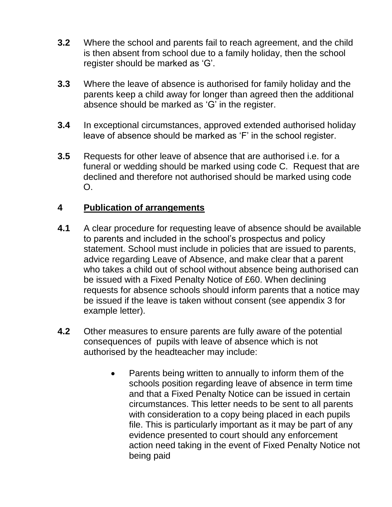- **3.2** Where the school and parents fail to reach agreement, and the child is then absent from school due to a family holiday, then the school register should be marked as 'G'.
- **3.3** Where the leave of absence is authorised for family holiday and the parents keep a child away for longer than agreed then the additional absence should be marked as 'G' in the register.
- **3.4** In exceptional circumstances, approved extended authorised holiday leave of absence should be marked as 'F' in the school register.
- **3.5** Requests for other leave of absence that are authorised i.e. for a funeral or wedding should be marked using code C. Request that are declined and therefore not authorised should be marked using code O.

### **4 Publication of arrangements**

- **4.1** A clear procedure for requesting leave of absence should be available to parents and included in the school's prospectus and policy statement. School must include in policies that are issued to parents, advice regarding Leave of Absence, and make clear that a parent who takes a child out of school without absence being authorised can be issued with a Fixed Penalty Notice of £60. When declining requests for absence schools should inform parents that a notice may be issued if the leave is taken without consent (see appendix 3 for example letter).
- **4.2** Other measures to ensure parents are fully aware of the potential consequences of pupils with leave of absence which is not authorised by the headteacher may include:
	- Parents being written to annually to inform them of the schools position regarding leave of absence in term time and that a Fixed Penalty Notice can be issued in certain circumstances. This letter needs to be sent to all parents with consideration to a copy being placed in each pupils file. This is particularly important as it may be part of any evidence presented to court should any enforcement action need taking in the event of Fixed Penalty Notice not being paid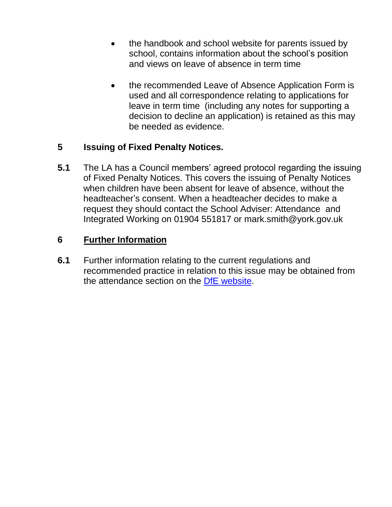- the handbook and school website for parents issued by school, contains information about the school's position and views on leave of absence in term time
- the recommended Leave of Absence Application Form is used and all correspondence relating to applications for leave in term time (including any notes for supporting a decision to decline an application) is retained as this may be needed as evidence.

### **5 Issuing of Fixed Penalty Notices.**

**5.1** The LA has a Council members' agreed protocol regarding the issuing of Fixed Penalty Notices. This covers the issuing of Penalty Notices when children have been absent for leave of absence, without the headteacher's consent. When a headteacher decides to make a request they should contact the School Adviser: Attendance and Integrated Working on 01904 551817 or mark.smith@york.gov.uk

### **6 Further Information**

**6.1** Further information relating to the current regulations and recommended practice in relation to this issue may be obtained from the attendance section on the [DfE website.](http://www.education.gov.uk/schools/pupilsupport/behaviour/attendance)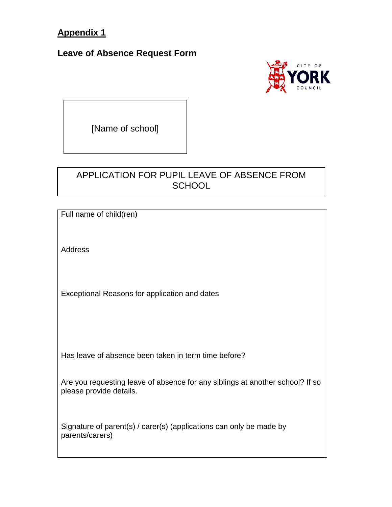## **Appendix 1**

#### **Leave of Absence Request Form**



[Name of school]

## APPLICATION FOR PUPIL LEAVE OF ABSENCE FROM **SCHOOL**

Full name of child(ren)

Address

Exceptional Reasons for application and dates

Has leave of absence been taken in term time before?

Are you requesting leave of absence for any siblings at another school? If so please provide details.

Signature of parent(s) / carer(s) (applications can only be made by parents/carers)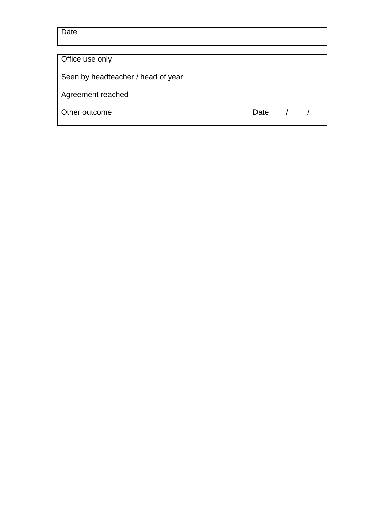**Date** 

Office use only

Seen by headteacher / head of year

Agreement reached

Other outcome Date 1 1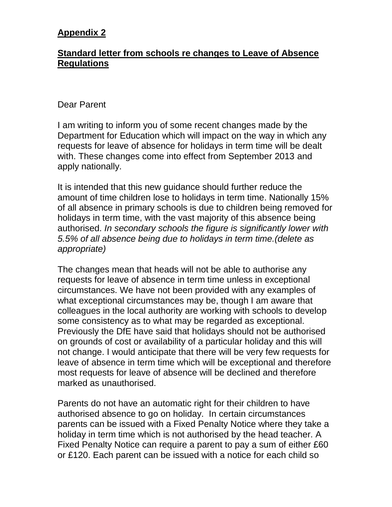## **Appendix 2**

#### **Standard letter from schools re changes to Leave of Absence Regulations**

#### Dear Parent

I am writing to inform you of some recent changes made by the Department for Education which will impact on the way in which any requests for leave of absence for holidays in term time will be dealt with. These changes come into effect from September 2013 and apply nationally.

It is intended that this new guidance should further reduce the amount of time children lose to holidays in term time. Nationally 15% of all absence in primary schools is due to children being removed for holidays in term time, with the vast majority of this absence being authorised. *In secondary schools the figure is significantly lower with 5.5% of all absence being due to holidays in term time.(delete as appropriate)*

The changes mean that heads will not be able to authorise any requests for leave of absence in term time unless in exceptional circumstances. We have not been provided with any examples of what exceptional circumstances may be, though I am aware that colleagues in the local authority are working with schools to develop some consistency as to what may be regarded as exceptional. Previously the DfE have said that holidays should not be authorised on grounds of cost or availability of a particular holiday and this will not change. I would anticipate that there will be very few requests for leave of absence in term time which will be exceptional and therefore most requests for leave of absence will be declined and therefore marked as unauthorised.

Parents do not have an automatic right for their children to have authorised absence to go on holiday. In certain circumstances parents can be issued with a Fixed Penalty Notice where they take a holiday in term time which is not authorised by the head teacher. A Fixed Penalty Notice can require a parent to pay a sum of either £60 or £120. Each parent can be issued with a notice for each child so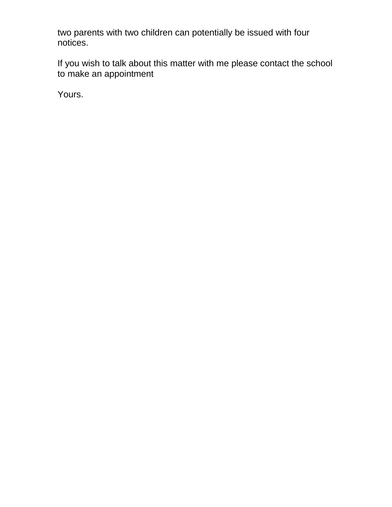two parents with two children can potentially be issued with four notices.

If you wish to talk about this matter with me please contact the school to make an appointment

Yours.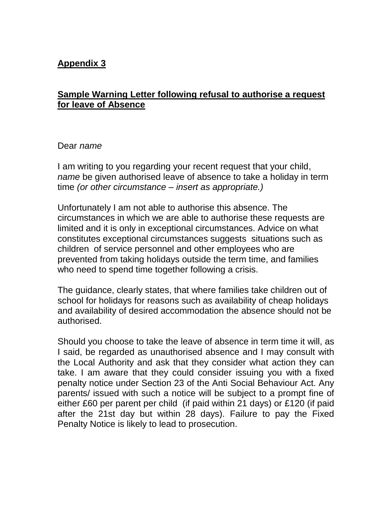### **Appendix 3**

#### **Sample Warning Letter following refusal to authorise a request for leave of Absence**

#### Dear *name*

I am writing to you regarding your recent request that your child, *name* be given authorised leave of absence to take a holiday in term time *(or other circumstance – insert as appropriate.)*

Unfortunately I am not able to authorise this absence. The circumstances in which we are able to authorise these requests are limited and it is only in exceptional circumstances. Advice on what constitutes exceptional circumstances suggests situations such as children of service personnel and other employees who are prevented from taking holidays outside the term time, and families who need to spend time together following a crisis.

The guidance, clearly states, that where families take children out of school for holidays for reasons such as availability of cheap holidays and availability of desired accommodation the absence should not be authorised.

Should you choose to take the leave of absence in term time it will, as I said, be regarded as unauthorised absence and I may consult with the Local Authority and ask that they consider what action they can take. I am aware that they could consider issuing you with a fixed penalty notice under Section 23 of the Anti Social Behaviour Act. Any parents/ issued with such a notice will be subject to a prompt fine of either £60 per parent per child (if paid within 21 days) or £120 (if paid after the 21st day but within 28 days). Failure to pay the Fixed Penalty Notice is likely to lead to prosecution.